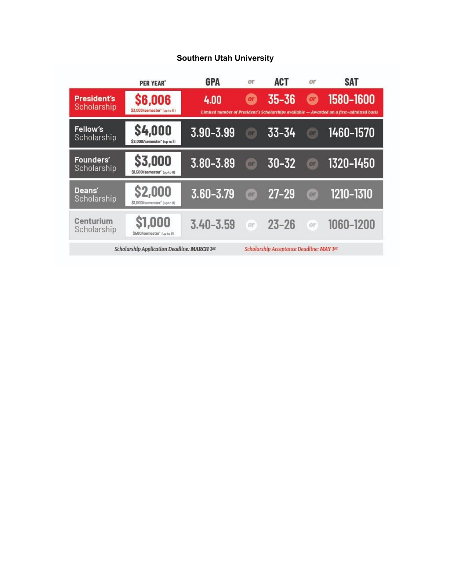#### **Southern Utah University**

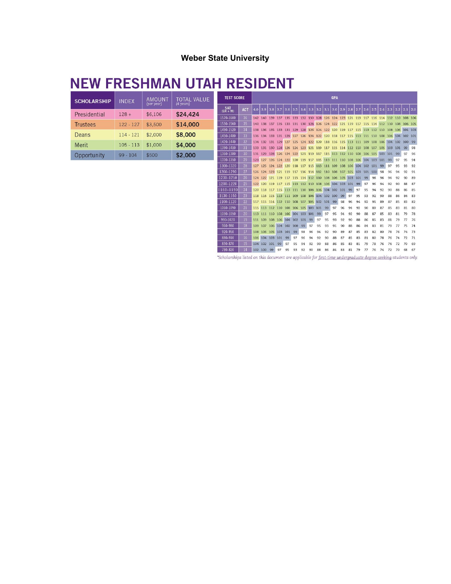### **Weber State University**

# **NEW FRESHMAN UTAH RESIDENT**

| <b>SCHOLARSHIP</b> | <b>INDEX</b> | <b>AMOUNT</b><br>(per year) | <b>TOTAL VALUE</b><br>(4 years) |
|--------------------|--------------|-----------------------------|---------------------------------|
| Presidential       | $128 +$      | \$6,106                     | \$24,424                        |
| <b>Trustees</b>    | $122 - 127$  | \$3,500                     | \$14,000                        |
| Deans              | $114 - 121$  | \$2,000                     | \$8,000                         |
| Merit              | $105 - 113$  | \$1,000                     | \$4,000                         |
| Opportunity        | $99 - 104$   | \$500                       | \$2,000                         |

| <b>TEST SCORE</b>        |                 | <b>GPA</b> |         |                                                                     |         |         |     |                                                     |     |     |             |     |     |                 |         |     |     |                                                         |     |             |     |     |
|--------------------------|-----------------|------------|---------|---------------------------------------------------------------------|---------|---------|-----|-----------------------------------------------------|-----|-----|-------------|-----|-----|-----------------|---------|-----|-----|---------------------------------------------------------|-----|-------------|-----|-----|
| <b>SAT</b><br>$(CR + M)$ | <b>ACT</b>      | 4.0        | 3.9     | 3.8                                                                 | 3.7     | 3.6     | 3.5 | 3.4                                                 | 3.3 | 3.2 | 3.1         | 3.0 | 2.9 | 2.8             | 2.7     | 2.6 | 2.5 | 2.4                                                     | 2.3 | 2.2         | 2.1 | 2.0 |
| 1570-1600                | 36              |            |         | 142 140 139 137 135 133                                             |         |         |     |                                                     |     |     |             |     |     |                 |         |     |     | 132 130 128 126 124 123 121 119 117 116 114 112 110 108 |     |             |     | 106 |
| 1530-1560                | 35              |            |         | 140 138 137 135 133 131 130 128 126 124 122 121 119 117 115 114 112 |         |         |     |                                                     |     |     |             |     |     |                 |         |     |     |                                                         | 110 | 108         | 106 | 105 |
| 1490-1520                | 34              | 138        |         | 136 135 133 131 129 128 126 124 122 120 119 117 115 113 112 110     |         |         |     |                                                     |     |     |             |     |     |                 |         |     |     |                                                         | 108 | 106 104     |     | 103 |
| 1450-1480                | 33              | 136        |         | 134 133                                                             |         |         |     | 131 129 127 126 124 122 120 118 117 115 113 111 110 |     |     |             |     |     |                 |         |     |     | 108                                                     |     | 106 104 102 |     | 101 |
| 1420-1440                | 32              |            |         | 134 132 131 129 127 125 124 122 120 118 116 115 113                 |         |         |     |                                                     |     |     |             |     |     |                 | 111 109 |     | 108 | 106 104 102                                             |     |             | 100 | 99  |
| 1390-1410                | 31              | 133        |         | 131 130 128                                                         |         | 126     |     | 124 123 121 119 117 115 114 112 110 108             |     |     |             |     |     |                 |         |     | 107 | 105                                                     | 103 | 101         | 99  | 98  |
| 1360-1380                | 30 <sub>2</sub> | 131        |         | 129 128                                                             | 126     | 124     |     | 122 121 119 117 115 113 112 110 108                 |     |     |             |     |     |                 |         | 106 | 105 | 103                                                     | 101 | 99          | 97  | 96  |
| 1330-1350                | 29              | 129        | 127     | 126                                                                 |         | 124 122 | 120 | 119 117 115                                         |     |     | 113 111 110 |     |     | 108             | 106     | 104 | 103 | 101                                                     | 99  | 97          | 95  | 94  |
| 1300-1320                | 28              |            |         | 127 125 124 122 120 118 117 115 113 111 109                         |         |         |     |                                                     |     |     |             |     |     | 108 106 104 102 |         |     | 101 | 99                                                      | 97  | 95          | 93  | 92  |
| 1260-1290                | 27              | 126        |         | 124 123                                                             | 121     | 119     | 117 | 116 114 112                                         |     |     | 110 108     |     |     | 107 105         | 103     | 101 | 100 | 98                                                      | 96  | 94          | 92  | 91  |
| 1230-1250                | 26              | 124        | 122     |                                                                     | 121 119 |         |     | 117 115 114 112 110 108 106                         |     |     |             |     | 105 | 103             | 101     | 99  | 98  | 96                                                      | 94  | 92          | 90  | 89  |
| 1200-1220                | 25              | 122        |         | 120 119 117 115 113 112 110 108                                     |         |         |     |                                                     |     |     | 106 104 103 |     |     | 101             | 99      | 97  | 96  | 94                                                      | 92  | 90          | 88  | 87  |
| 1160-1190                | 24              |            |         | 120 118 117 115 113 111 110 108 106 104 102                         |         |         |     |                                                     |     |     |             |     | 101 | 99              | 97      | 95  | 94  | 92                                                      | 90  | 88          | 86  | 85  |
| 1130-1150                | 23              | 118        |         | 116 115 113 111 109                                                 |         |         |     | 108 106 104 102                                     |     |     |             | 100 | 99  | 97              | 95      | 93  | 92  | 90                                                      | 88  | 86          | 84  | 83  |
| 1100-1120                | 22              | 117        |         | 115 114 112 110                                                     |         |         | 108 | 107 105 102                                         |     |     | 101         | 99  | 98  | 96              | 94      | 92  | 91  | 89                                                      | 87  | 85          | 83  | 82  |
| 1060-1090                | 21              |            |         | 115 113 112 110                                                     |         | 108     |     | 106 105 103                                         |     | 101 | 99          | 97  | 96  | 94              | 92      | 90  | 89  | 87                                                      | 85  | 83          | 81  | 80  |
| 1030-1050                | 20              |            |         | 113 111 110 108 106 104 103                                         |         |         |     |                                                     | 101 | 99  | 97          | 95  | 94  | 92              | 90      | 88  | 87  | 85                                                      | 83  | 81          | 79  | 78  |
| 990-1020                 | 19              | 111        | 109     | 108 106 104 102 101                                                 |         |         |     |                                                     | 99  | 97  | 95          | 93  | 92  | 90              | 88      | 86  | 85  | 83                                                      | 81  | 79          | 77  | 76  |
| 960-980                  | 18              | 109        | 107     | 106                                                                 | 104 102 |         | 100 | 99                                                  | 97  | 95  | 93          | 91  | 90  | 88              | 86      | 84  | 83  | 81                                                      | 79  | 77          | 75  | 74  |
| 920-950                  | 17              | 108        |         | 106 105                                                             | 103 101 |         | 99  | 98                                                  | 96  | 94  | 92          | 90  | 89  | 87              | 85      | 83  | 82  | 80                                                      | 78  | 76          | 74  | 73  |
| 880-910                  | 16              | 106        | 104 103 |                                                                     | 101     | 99      | 97  | 96                                                  | 94  | 92  | 90          | 88  | 87  | 85              | 83      | 81  | 80  | 78                                                      | 76  | 74          | 72  | 71  |
| 830-870                  | 15              | 104        | 102     | 101                                                                 | 99      | 97      | 95  | 94                                                  | 92  | 90  | 88          | 86  | 85  | 83              | 81      | 79  | 78  | 76                                                      | 74  | 72          | 70  | 69  |
| 780-820                  | 14              |            | 102 100 | 99                                                                  | 97      | 95      | 93  | 92                                                  | 90  | 88  | 86          | 84  | 83  | 81              | 79      | 77  | 76  | 74                                                      | 72  | 70          | 68  | 67  |

\*Scholarships listed on this document are applicable for first-time undergraduate degree-seeking students only.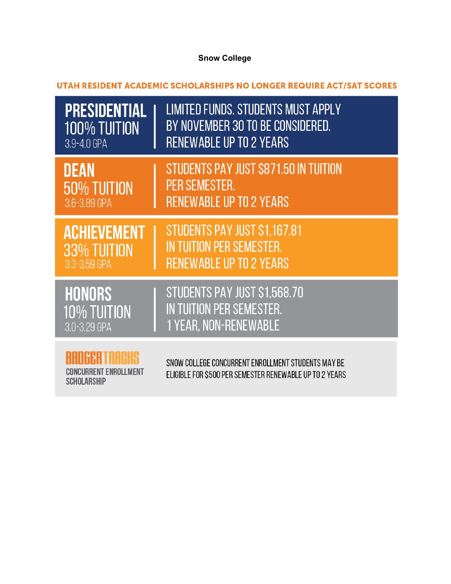## **Snow College**

UTAH RESIDENT ACADEMIC SCHOLARSHIPS NO LONGER REQUIRE ACT/SAT SCORES

| PRESIDENTIAL       | <b>LIMITED FUNDS. STUDENTS MUST APPLY</b>                                                                     |
|--------------------|---------------------------------------------------------------------------------------------------------------|
| 100% TUITION       | BY NOVEMBER 30 TO BE CONSIDERED.                                                                              |
| 3.9-4.0 GPA        | <b>RENEWABLE UP TO 2 YEARS</b>                                                                                |
| <b>DEAN</b>        | STUDENTS PAY JUST \$871.50 IN TUITION                                                                         |
| <b>50% TUITION</b> | PER SEMESTER.                                                                                                 |
| 3.6-3.89 GPA       | <b>RENEWABLE UP TO 2 YEARS</b>                                                                                |
| <b>ACHIEVEMENT</b> | STUDENTS PAY JUST \$1,167.81                                                                                  |
| 33% TUITION        | IN TUITION PER SEMESTER.                                                                                      |
| 3.3-3.59 GPA       | <b>RENEWABLE UP TO 2 YEARS</b>                                                                                |
| <b>HONORS</b>      | STUDENTS PAY JUST \$1,568.70                                                                                  |
| <b>10% TUITION</b> | IN TUITION PER SEMESTER.                                                                                      |
| 3.0-3.29 GPA       | <b>1 YEAR, NON-RENEWABLE</b>                                                                                  |
| <b>SCHOLARSHIP</b> | SNOW COLLEGE CONCURRENT ENROLLMENT STUDENTS MAY BE<br>ELIGIBLE FOR \$500 PER SEMESTER RENEWABLE UP TO 2 YEARS |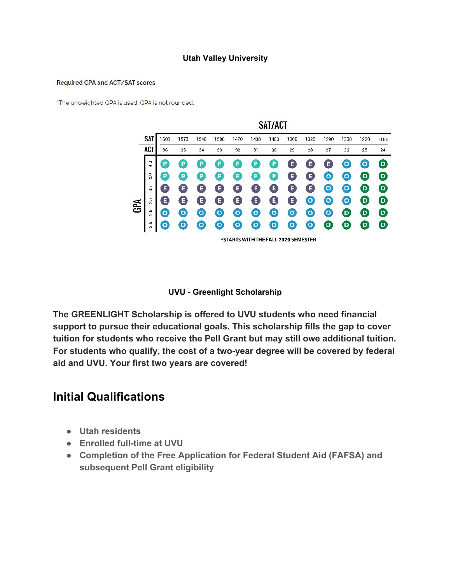#### **Utah Valley University**

#### Required GPA and ACT/SAT scores

'The unweighted GPA is used. GPA is not rounded.

|     |     |     |         |           |         |         |         | SAT/ACT                             |           |              |      |         |      |                                         |
|-----|-----|-----|---------|-----------|---------|---------|---------|-------------------------------------|-----------|--------------|------|---------|------|-----------------------------------------|
|     | SAT | 600 | 1570    | 1540      | 1500    | 1470    | 1430    | 1400                                | 1360      | 1320         | 1290 | 1260    | 1220 | 1180                                    |
|     | ACT | 36  | 35      | 34        | 33      | 32      | 31      | 30                                  | 29        | 28           | 27   | 26      | 25   | 24                                      |
|     | 4.0 | P   | р       | Đ         | Р       | P       | P       | P                                   | E         | E            | E    | $\circ$ | о    | D                                       |
|     | 3.9 | Р   | Đ       | P         | P       | P       | P       | Р                                   | E         | E            | о    | $\circ$ | D    | $\bullet$                               |
|     | 33  | Ε   | Е       | E         | Е       | E       | Е       | E                                   | E         | E            | o    | $\circ$ | D    | $\bullet$                               |
| GPA | 3.7 | E   | Е       | E         | Е       | E       | Е       | E                                   | E         | $\circ$      | o    | $\circ$ | D    | $\boldsymbol{\mathsf{\scriptstyle{D}}}$ |
|     | 3.6 | o   | Ο       | ο         | $\circ$ | $\circ$ | $\circ$ | O                                   | $\circ$   | $\mathbf{o}$ | O    | D       | D    | $\bullet$                               |
|     | 3.5 | ۰   | $\circ$ | $\bullet$ | $\circ$ | $\circ$ | $\circ$ | $\circ$                             | $\bullet$ | $\circ$      | D    | D       | D    | $\bullet$                               |
|     |     |     |         |           |         |         |         | *STARTS WITH THE FALL 2020 SEMESTER |           |              |      |         |      |                                         |

 $2.7 - 1.7 - 1.7$ 

**UVU - Greenlight Scholarship**

**The GREENLIGHT Scholarship is offered to UVU students who need financial support to pursue their educational goals. This scholarship fills the gap to cover tuition for students who receive the Pell Grant but may still owe additional tuition. For students who qualify, the cost of a two-year degree will be covered by federal aid and UVU. Your first two years are covered!**

## **Initial Qualifications**

- **● Utah residents**
- **● Enrolled full-time at UVU**
- **● Completion of the Free Application for Federal Student Aid (FAFSA) and subsequent Pell Grant eligibility**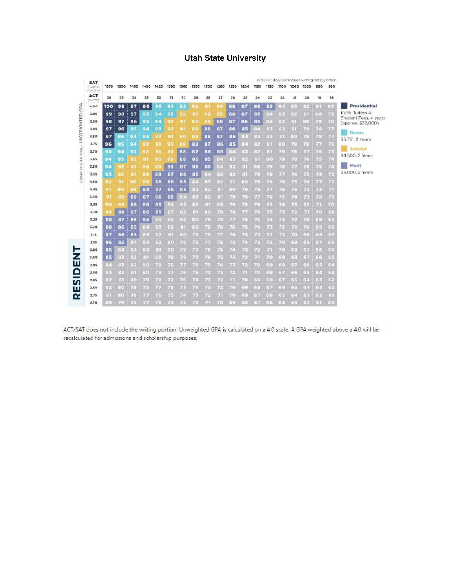### **Utah State University**

|                                       | <b>SAT</b>           |                              |              |              |               |                |                |                |       |      |             |       |         |             |              |             | ACT/SAT does not include writing/assay portion. |               |                       |                         |                                             |
|---------------------------------------|----------------------|------------------------------|--------------|--------------|---------------|----------------|----------------|----------------|-------|------|-------------|-------|---------|-------------|--------------|-------------|-------------------------------------------------|---------------|-----------------------|-------------------------|---------------------------------------------|
|                                       | (TOTAL)<br>Post 2016 | 1570                         | 1530         | 1490         | 1450          | 1420           | 1390           | 1360           | 1330  | 1300 | <b>1260</b> | 1230  | 1200    | <b>1160</b> | 1130         | 1100        | 1060                                            | 1030          | 990                   | 960                     |                                             |
|                                       | <b>ACT</b><br>(COMP) | 36                           | 35           | 34           | 33            | 32             | 31             | 30             | 29    | 28   | 27          | 26    | 25      | 24          | 23           | 22          | 21                                              | 20            | 19                    | 18                      |                                             |
|                                       | 4.00                 | 100                          | 98           | 97           | 96            | 95             | 94             | 93             | 92    | 91   | 90          | 88    | 87      | 86          | 85           | 87          | 88                                              | e e           | 231                   | 80                      | Presidential                                |
| (Based on a 4.0 scale) UNWEIGHTED GPA | 3.95                 | 99                           | 98           | 97           | 95            | 94             | 93             | 92             | 91    | 90   | 日日          | 88    | 87      | 85          | $\mathbb{R}$ | 碌           | 日内                                              | (1)           | $\Omega$ <sub>C</sub> | 73                      | 100% Tuition &                              |
|                                       | 3.90                 | 98                           | 97           | 96           | 95            | 94             | 92             | 91             | 90    | 89   | 88          | 87    | 86      | 85          | 16           | 四回          | 日記                                              | 13.4          | 75                    | 78                      | Student Fees, 4 years<br>(approx. \$32,000) |
|                                       | 3.85                 | 97                           | 96           | 95           | 94            | 93             | 92             | 91             | 89    | 88   | 87          | 86    | 85      | 84          | 83           | 82          | 81                                              | W.            | 78                    | w                       |                                             |
|                                       | 3.80                 | 97                           | 95           | 94           | 93            | 92             | 91             | 90             | яc    | 88   | 87          | 85    | 36      | 88          | 95           | 81          | $\mathbb{R}$                                    | W.            | 78                    | rir                     | Deans<br>\$6,731, 2 Years                   |
|                                       | 3.75                 | 96                           | 95           | 94           | 92            | 91             | 90             | B <sub>0</sub> | 88    | 87   | 86          | 85    | 坦       | 82          | 53 E         | 80          | MS.                                             | 78            | iz <i>iri.</i>        | ИE                      |                                             |
|                                       | 3.70                 | 95                           | 94           | 93           | 92            | 91             | 89             | 88             | 87    | 86   | 85          | 87    | 出版      | 82          | 81           | w           | 73                                              | r Iri         | 76                    | 745                     | Scholar                                     |
|                                       | 3.65                 | 94                           | 93           | 92           | 91            | 90             | R <sub>5</sub> | 88             | 86    | 85   | 84          | 3번    | 92      | 89.         | 30           | n C         | ИB                                              | r/G           | 75                    | ĸ                       | \$4,500, 2 Years                            |
|                                       | 3.60                 | 94                           | $\Omega$     | $\mathbf{G}$ | 90            | B <sub>S</sub> | 88             | 87             | 86    | 85   | 86          | 眼     | 日報      | 750         | V 55         | ИB          | r Ir                                            | r F           | 75                    | U.                      | Merit                                       |
|                                       | 3.55                 | 93                           | 92           | $\mathbf{Q}$ | BS.           | 88             | 87             | 86             | 85    | 84   | 绿           | 32    | 83      | 73          | 76           | rm          | 7 G                                             | 75            | 74                    | n.                      | \$3,000, 2 Years                            |
|                                       | 3.50                 | 92                           | 91           | 90           | <b>BS</b>     | 88             | 86             | 85             | 33.0  | 요법   | E.          | 89    | (1, 0)  | 73          | ИB           | W.          | 75                                              | n             | 76                    | 72                      |                                             |
|                                       | 3.45                 | 91                           | 90           | 86           | 88            | 87             | 86             | 85             | 83    | 92   | 压服          | 80    | 765     | W.          | VM.          | W.          | 75                                              | 内             | 22                    | $\overline{\mathbf{z}}$ |                                             |
|                                       | 3.40                 | 91                           | 89           | 88           | 87            | 86             | 85             | 84             | 辟     | 82   | 89          | w     | WB      | VII)        | けい           | W.          | 74                                              | 7月3           | 7 <sup>o</sup>        | 7.41                    |                                             |
|                                       | 3.35                 | 90                           | 89           | 88           | 86            | 85             | 36             | 出來             | 出版    | 81   | 80          | r.C   | nB      | nG          | n            | V.          | 床                                               | w             | <b>Itali</b>          | 70                      |                                             |
|                                       | 3.30                 | <b>B</b> 9                   | 88           | 87           | 86            | 85             | 1 <sup>2</sup> | 리키             | 81    | 80   | v.c         | 78    | r.ir.   | V.G         | ZE           | <b>Inte</b> | w                                               | 'nл           | 70                    | 69                      |                                             |
|                                       | 3.25                 | 88                           | 87           | 86           | 85            | 86             | 注解             | 82             | $-16$ | 75   | 78          | r/r   | n F     | 7.15        | V.O          | ne          | ve                                              | 70            | 69                    | 固定                      |                                             |
|                                       | 3.20                 | 88                           | 86           | 85           | 84            | 83             | НP.            | 81             | 350   | VE.  | n.          | 76    | n       | Y.C.        | ve           | w           | Иò                                              | <b>V/3</b>    | 69                    | 58                      |                                             |
|                                       | 3.15                 | 87                           | 86           | 85           | 88            | 88             | 府              | 80             | 73    | 78   | r.In        | 75    | n       | nis.        | r pr.        | ir.il       | <b>V.G</b>                                      | 5S            | 68                    | 动物                      |                                             |
|                                       | 3.10                 | 86                           | 85           | 84           | 33            | 82             | 80             | W.             | 78    | rm   | ZG.         | 745   | r£:     | n.          | v.           | V.C         | 55                                              | 56            | 67                    | 66                      |                                             |
|                                       | 3.05                 | 85                           | 84           | 89           | 89            | 81             | 80             | W.             | r In  | n E  | ve          | V.    | n po    | nje.        | P.B.         | VE.         | 5.1                                             | 37            | 66                    | 55                      |                                             |
|                                       | 3.00                 | 85                           | 92           | 88           | 81            | $\frac{1}{2}$  | W.             | 78             | r.in  | r/ E | n e         | r je: | r.pr    | УÄ          | r (o         | 58          | 58                                              | GW.           | 66                    | 35                      |                                             |
|                                       | 2.95                 | C<                           | 出版           | 89           | 69.0          | r Fr           | 78             | rir            | r/ c  | n F  | r B         | r dic | w       | 77.3        | G C          | 58          | Gh.                                             | 55            | 65                    | SF.                     |                                             |
|                                       | 2.90                 | 85                           | 82           | 田            | $\frac{1}{2}$ | n.             | v.iv.          | V.G            | Иć    | n.   | n po        | r jr. | rл      | V.C.        | 55           | 67          | 55                                              | $\frac{1}{2}$ | 64                    | 63                      |                                             |
|                                       | 2.85                 | 89                           | 81           | (30)         | w             | ИB             | rж             | 76             | ĸĿ    | 243  | r tr        | zл    | ИO      | F.F         | 5.5          | GV.         | 55                                              | $-1$          | 63                    | 52                      |                                             |
|                                       | 2.80                 | Ele.                         | $\oplus a$   | W.           | W.            | F.M            | 73             | 75             | rĿ    | 内包   | r.ir.       | 70    | 33      | 38          | GW.          | 557         | 55                                              | $\frac{1}{2}$ | 6.3                   | 52                      |                                             |
|                                       | 2.75                 | $\left( \frac{1}{2} \right)$ | $\pm 3$ (ii) | W.           | r iv          | V. S           | n E            | V.C            | V K   | n.   | УÆ          | 7(6)  | $\pm 1$ | 59          | 5.5          | 65          | $-14$                                           | 15%           | 36                    | $\Box$                  |                                             |
|                                       | 2.70                 | 80                           | V.F          | WE:          | vw            | ИF             | VΣ             | V No           | ИK    | Уŵ   | W.Co        | 69    | $\Xi$   | GW.         | E E          | E.          | 日に                                              | 69            | E-S                   | 50                      |                                             |

ACT/SAT does not include the writing portion. Unweighted GPA is calculated on a 4.0 scale. A GPA weighted above a 4.0 will be recalculated for admissions and scholarship purposes.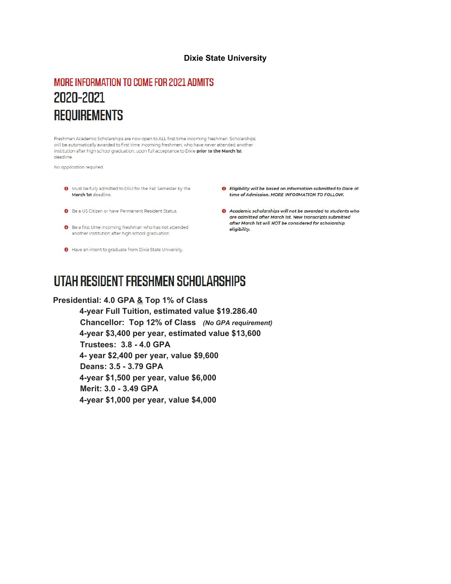#### **Dixie State University**

## MORE INFORMATION TO COME FOR 2021 ADMITS 2020-2021 **REQUIREMENTS**

Freshman Academic Scholarships are now open to ALL first time incoming freshmen. Scholarships will be automatically awarded to first time incoming freshmen, who have never attended another institution after high school graduation, upon full acceptance to Dixie prior to the March 1st deadline

No application required.

- **O** Must be fully admitted to DSU for the Fall Semester by the March 1st deadline.
- **O** Be a US Citizen or have Permanent Resident Status.
- **O** Be a first time incoming freshman who has not attended another institution after high school graduation.
- Have an intent to graduate from Dixie State University.
- **O** Eligibility will be based on information submitted to Dixie at time of Admission. MORE INFORMATION TO FOLLOW.
- Academic scholarships will not be awarded to students who are admitted after March 1st. New transcripts submitted after March 1st will NOT be considered for scholarship eligibility.

## UTAH RESIDENT FRESHMEN SCHOLARSHIPS

**Presidential: 4.0 GPA & Top 1% of Class 4-year Full Tuition, estimated value \$19.286.40 Chancellor: Top 12% of Class** *(No GPA requirement)* **4-year \$3,400 per year, estimated value \$13,600 Trustees: 3.8 - 4.0 GPA 4- year \$2,400 per year, value \$9,600 Deans: 3.5 - 3.79 GPA 4-year \$1,500 per year, value \$6,000 Merit: 3.0 - 3.49 GPA 4-year \$1,000 per year, value \$4,000**